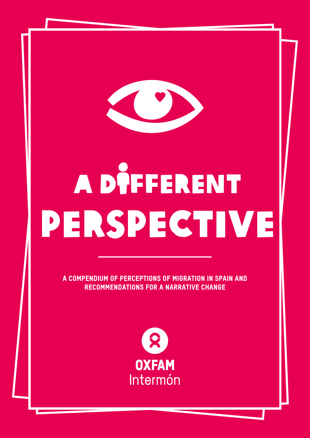

# A DÎFFERENT perspective

a Compendium of perceptions of migration in spain and recommendations for a narrative change

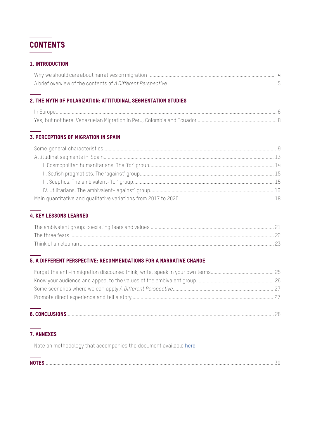

#### 1. Introduction

#### 2. The myth of polarization: attitudinal segmentation studies

#### 3. Perceptions of migration in Spain

#### 4. Key lessons learned

#### 5. A Different Perspective: Recommendations for a narrative change

#### 7. Annexes

Note on methodology that accompanies the document available [here](https://www.oxfamintermon.org/es/publicacion/la-otra-mirada)

| NOT" |  |
|------|--|
|      |  |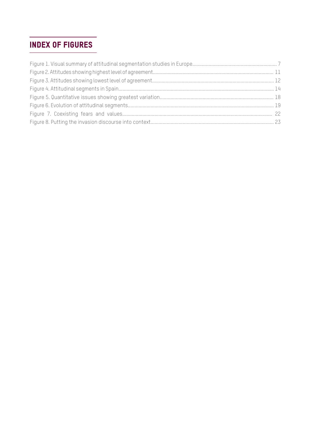### INDEX of Figures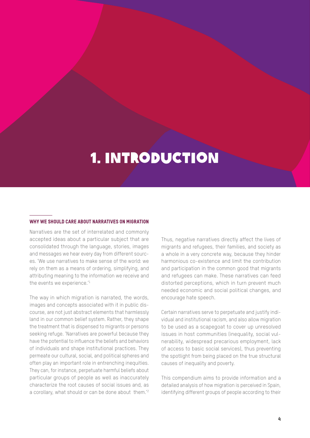## 1. Introduction

#### WHY WE SHOULD CARE ABOUT NARRATIVES ON MIGRATION

Narratives are the set of interrelated and commonly accepted ideas about a particular subject that are consolidated through the language, stories, images and messages we hear every day from different sources. 'We use narratives to make sense of the world: we rely on them as a means of ordering, simplifying, and attributing meaning to the information we receive and the events we experience.'1

The way in which migration is narrated, the words, images and concepts associated with it in public discourse, are not just abstract elements that harmlessly land in our common belief system. Rather, they shape the treatment that is dispensed to migrants or persons seeking refuge. 'Narratives are powerful because they have the potential to influence the beliefs and behaviors of individuals and shape institutional practices. They permeate our cultural, social, and political spheres and often play an important role in entrenching inequities. They can, for instance, perpetuate harmful beliefs about particular groups of people as well as inaccurately characterize the root causes of social issues and, as a corollary, what should or can be done about them.'2

Thus, negative narratives directly affect the lives of migrants and refugees, their families, and society as a whole in a very concrete way, because they hinder harmonious co-existence and limit the contribution and participation in the common good that migrants and refugees can make. These narratives can feed distorted perceptions, which in turn prevent much needed economic and social political changes, and encourage hate speech.

Certain narratives serve to perpetuate and justify individual and institutional racism, and also allow migration to be used as a scapegoat to cover up unresolved issues in host communities (inequality, social vulnerability, widespread precarious employment, lack of access to basic social services), thus preventing the spotlight from being placed on the true structural causes of inequality and poverty.

This compendium aims to provide information and a detailed analysis of how migration is perceived in Spain, identifying different groups of people according to their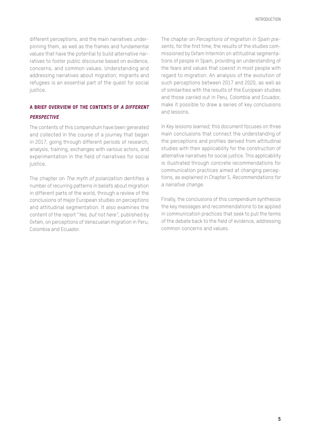different perceptions, and the main narratives underpinning them, as well as the frames and fundamental values that have the potential to build alternative narratives to foster public discourse based on evidence, concerns, and common values. Understanding and addressing narratives about migration, migrants and refugees is an essential part of the quest for social justice.

#### A brief overview of the contents of A Different **PERSPECTIVE**

The contents of this compendium have been generated and collected in the course of a journey that began in 2017, going through different periods of research, analysis, training, exchanges with various actors, and experimentation in the field of narratives for social justice.

The chapter on *The myth of polarization* dentifies a number of recurring patterns in beliefs about migration in different parts of the world, through a review of the conclusions of major European studies on perceptions and attitudinal segmentation. It also examines the content of the report "*Yes, but not here"*, published by Oxfam, on perceptions of Venezuelan migration in Peru, Colombia and Ecuador.

The chapter on *Perceptions of migration in Spain presents*, for the first time, the results of the studies commissioned by Oxfam Intermón on attitudinal segmentations of people in Spain, providing an understanding of the fears and values that coexist in most people with regard to migration. An analysis of the evolution of such perceptions between 2017 and 2020, as well as of similarities with the results of the European studies and those carried out in Peru, Colombia and Ecuador, make it possible to draw a series of key conclusions and lessons.

In *Key lessons learned*, this document focuses on three main conclusions that connect the understanding of the perceptions and profiles derived from attitudinal studies with their applicability for the construction of alternative narratives for social justice. This applicability is illustrated through concrete recommendations for communication practices aimed at changing perceptions, as explained in Chapter 5, *Recommendations for a narrative change.*

Finally, the conclusions of this compendium synthesize the key messages and recommendations to be applied in communication practices that seek to pull the terms of the debate back to the field of evidence, addressing common concerns and values.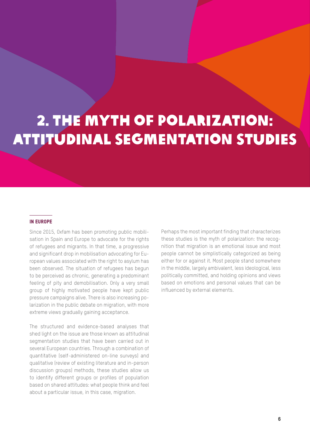# 2. The myth of polarization: attitudinal segmentation studies

#### In Europe

Since 2015, Oxfam has been promoting public mobilisation in Spain and Europe to advocate for the rights of refugees and migrants. In that time, a progressive and significant drop in mobilisation advocating for European values associated with the right to asylum has been observed. The situation of refugees has begun to be perceived as chronic, generating a predominant feeling of pity and demobilisation. Only a very small group of highly motivated people have kept public pressure campaigns alive. There is also increasing polarization in the public debate on migration, with more extreme views gradually gaining acceptance.

The structured and evidence-based analyses that shed light on the issue are those known as attitudinal segmentation studies that have been carried out in several European countries. Through a combination of quantitative (self-administered on-line surveys) and qualitative (review of existing literature and in-person discussion groups) methods, these studies allow us to identify different groups or profiles of population based on shared attitudes: what people think and feel about a particular issue, in this case, migration.

Perhaps the most important finding that characterizes these studies is the myth of polarization: the recognition that migration is an emotional issue and most people cannot be simplistically categorized as being either for or against it. Most people stand somewhere in the middle, largely ambivalent, less ideological, less politically committed, and holding opinions and views based on emotions and personal values that can be influenced by external elements.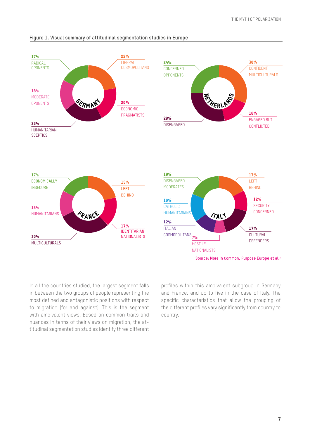

#### **Figure 1. Visual summary of attitudinal segmentation studies in Europe**

In all the countries studied, the largest segment falls in between the two groups of people representing the most defined and antagonistic positions with respect to migration (for and against). This is the segment with ambivalent views. Based on common traits and nuances in terms of their views on migration, the attitudinal segmentation studies identify three different

profiles within this ambivalent subgroup in Germany and France, and up to five in the case of Italy. The specific characteristics that allow the grouping of the different profiles vary significantly from country to country.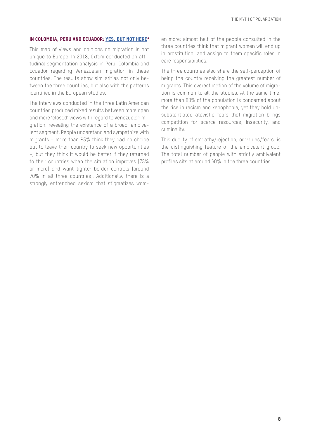#### IN COLOMBIA, PERU AND ECUADOR: YES, BUT NOT HERE<sup>4</sup>

This map of views and opinions on migration is not unique to Europe. In 2018, Oxfam conducted an attitudinal segmentation analysis in Peru, Colombia and Ecuador regarding Venezuelan migration in these countries. The results show similarities not only between the three countries, but also with the patterns identified in the European studies.

The interviews conducted in the three Latin American countries produced mixed results between more open and more 'closed' views with regard to Venezuelan migration, revealing the existence of a broad, ambivalent segment. People understand and sympathize with migrants – more than 85% think they had no choice but to leave their country to seek new opportunities –, but they think it would be better if they returned to their countries when the situation improves (75% or more) and want tighter border controls (around 70% in all three countries). Additionally, there is a strongly entrenched sexism that stigmatizes women more: almost half of the people consulted in the three countries think that migrant women will end up in prostitution, and assign to them specific roles in care responsibilities.

The three countries also share the self-perception of being the country receiving the greatest number of migrants. This overestimation of the volume of migration is common to all the studies. At the same time, more than 80% of the population is concerned about the rise in racism and xenophobia, yet they hold unsubstantiated atavistic fears that migration brings competition for scarce resources, insecurity, and criminality.

This duality of empathy/rejection, or values/fears, is the distinguishing feature of the ambivalent group. The total number of people with strictly ambivalent profiles sits at around 60% in the three countries.

8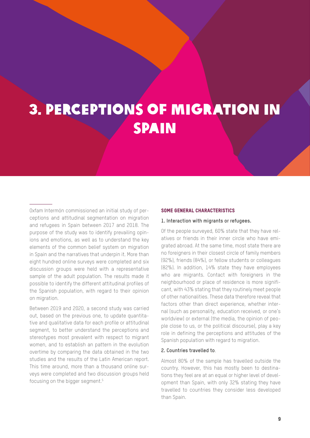## 3. Perceptions of migration in **SPAIN**

Oxfam Intermón commissioned an initial study of perceptions and attitudinal segmentation on migration and refugees in Spain between 2017 and 2018. The purpose of the study was to identify prevailing opinions and emotions, as well as to understand the key elements of the common belief system on migration in Spain and the narratives that underpin it. More than eight hundred online surveys were completed and six discussion groups were held with a representative sample of the adult population. The results made it possible to identify the different attitudinal profiles of the Spanish population, with regard to their opinion on migration.

Between 2019 and 2020, a second study was carried out, based on the previous one, to update quantitative and qualitative data for each profile or attitudinal segment, to better understand the perceptions and stereotypes most prevalent with respect to migrant women, and to establish an pattern in the evolution overtime by comparing the data obtained in the two studies and the results of the Latin American report. This time around, more than a thousand online surveys were completed and two discussion groups held focusing on the bigger segment.5

#### Some general characteristics

#### **1. Interaction with migrants or refugees.**

Of the people surveyed, 60% state that they have relatives or friends in their inner circle who have emigrated abroad. At the same time, most state there are no foreigners in their closest circle of family members (92%), friends (84%), or fellow students or colleagues (82%). In addition, 14% state they have employees who are migrants. Contact with foreigners in the neighbourhood or place of residence is more significant, with 43% stating that they routinely meet people of other nationalities. These data therefore reveal that factors other than direct experience, whether internal (such as personality, education received, or one's worldview) or external (the media, the opinion of people close to us, or the political discourse), play a key role in defining the perceptions and attitudes of the Spanish population with regard to migration.

#### **2. Countries travelled to**.

Almost 80% of the sample has travelled outside the country. However, this has mostly been to destinations they feel are at an equal or higher level of development than Spain, with only 32% stating they have travelled to countries they consider less developed than Spain.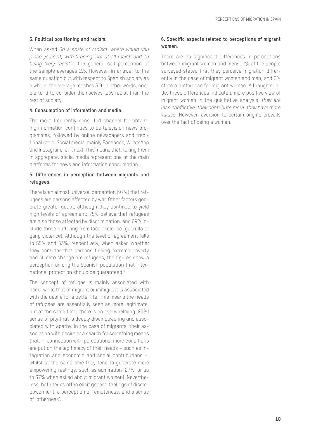#### **3. Political positioning and racism.**

When asked *On a scale of racism, where would you place yourself, with 0 being 'not at all racist' and 10 being 'very racist'?*, the general self-perception of the sample averages 2.5. However, in answer to the same question but with respect to Spanish society as a whole, the average reaches 5.9. In other words, people tend to consider themselves less racist than the rest of society.

#### **4. Consumption of information and media.**

The most frequently consulted channel for obtaining information continues to be television news programmes, followed by online newspapers and traditional radio. Social media, mainly Facebook, WhatsApp and Instagram, rank next. This means that, taking them in aggregate, social media represent one of the main platforms for news and information consumption.

#### **5. Differences in perception between migrants and refugees.**

There is an almost universal perception (97%) that refugees are persons affected by war. Other factors generate greater doubt, although they continue to yield high levels of agreement: 75% believe that refugees are also those affected by discrimination, and 69% include those suffering from local violence (guerrilla or gang violence). Although the level of agreement falls to 55% and 53%, respectively, when asked whether they consider that persons fleeing extreme poverty and climate change are refugees, the figures show a perception among the Spanish population that international protection should be guaranteed.6

The concept of refugee is mainly associated with need, while that of migrant or immigrant is associated with the desire for a better life. This means the needs of refugees are essentially seen as more legitimate, but at the same time, there is an overwhelming (80%) sense of pity that is deeply disempowering and associated with apathy. In the case of migrants, their association with desire or a search for something means that, in connection with perceptions, more conditions are put on the legitimacy of their needs – such as integration and economic and social contributions –, whilst at the same time they tend to generate more empowering feelings, such as admiration (27%, or up to 37% when asked about migrant women). Nevertheless, both terms often elicit general feelings of disempowerment, a perception of remoteness, and a sense of 'otherness'.

#### **6. Specific aspects related to perceptions of migrant women**.

There are no significant differences in perceptions between migrant women and men: 12% of the people surveyed stated that they perceive migration differently in the case of migrant women and men, and 6% state a preference for migrant women. Although subtle, these differences indicate a more positive view of migrant women in the qualitative analysis: *they are less conflictive, they contribute more, they have more values.* However, aversion to certain origins prevails over the fact of being a woman.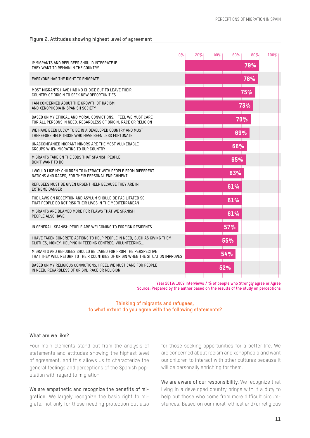#### **Figure 2. Attitudes showing highest level of agreement**

|                                                                                                                                                  | 0% | 20% | 40% | 60% | 80%        | 100% |
|--------------------------------------------------------------------------------------------------------------------------------------------------|----|-----|-----|-----|------------|------|
| IMMIGRANTS AND REFUGEES SHOULD INTEGRATE IF<br>THEY WANT TO REMAIN IN THE COUNTRY                                                                |    |     |     |     | 79%        |      |
| EVERYONE HAS THE RIGHT TO EMIGRATE                                                                                                               |    |     |     |     | 78%        |      |
| MOST MIGRANTS HAVE HAD NO CHOICE BUT TO LEAVE THEIR<br>COUNTRY OF ORIGIN TO SEEK NEW OPPORTUNITIES                                               |    |     |     |     | <b>75%</b> |      |
| I AM CONCERNED ABOUT THE GROWTH OF RACISM<br>AND XENOPHOBIA IN SPANISH SOCIETY                                                                   |    |     |     |     | 73%        |      |
| BASED ON MY ETHICAL AND MORAL CONVICTIONS, I FEEL WE MUST CARE<br>FOR ALL PERSONS IN NEED, REGARDLESS OF ORIGIN, RACE OR RELIGION                |    |     |     | 70% |            |      |
| WE HAVE BEEN LUCKY TO BE IN A DEVELOPED COUNTRY AND MUST<br>THEREFORE HELP THOSE WHO HAVE BEEN LESS FORTUNATE                                    |    |     |     | 69% |            |      |
| UNACCOMPANIED MIGRANT MINORS ARE THE MOST VULNERABLE<br>GROUPS WHEN MIGRATING TO OUR COUNTRY                                                     |    |     |     | 66% |            |      |
| MIGRANTS TAKE ON THE JOBS THAT SPANISH PEOPLE<br>DON'T WANT TO DO                                                                                |    |     |     | 65% |            |      |
| I WOULD LIKE MY CHILDREN TO INTERACT WITH PEOPLE FROM DIFFERENT<br>NATIONS AND RACES, FOR THEIR PERSONAL ENRICHMENT                              |    |     |     | 63% |            |      |
| REFUGEES MUST BE GIVEN URGENT HELP BECAUSE THEY ARE IN<br><b>EXTREME DANGER</b>                                                                  |    |     |     | 61% |            |      |
| THE LAWS ON RECEPTION AND ASYLUM SHOULD BE FACILITATED SO<br>THAT PEOPLE DO NOT RISK THEIR LIVES IN THE MEDITERRANEAN                            |    |     |     | 61% |            |      |
| MIGRANTS ARE BLAMED MORE FOR FLAWS THAT WE SPANISH<br>PEOPLE ALSO HAVE                                                                           |    |     |     | 61% |            |      |
| IN GENERAL, SPANISH PEOPLE ARE WELCOMING TO FOREIGN RESIDENTS                                                                                    |    |     |     | 57% |            |      |
| I HAVE TAKEN CONCRETE ACTIONS TO HELP PEOPLE IN NEED, SUCH AS GIVING THEM<br>CLOTHES, MONEY, HELPING IN FEEDING CENTRES, VOLUNTEERING            |    |     |     | 55% |            |      |
| MIGRANTS AND REFUGEES SHOULD BE CARED FOR FROM THE PERSPECTIVE<br>THAT THEY WILL RETURN TO THEIR COUNTRIES OF ORIGIN WHEN THE SITUATION IMPROVES |    |     |     | 54% |            |      |
| BASED ON MY RELIGIOUS CONVICTIONS, I FEEL WE MUST CARE FOR PEOPLE<br>IN NEED, REGARDLESS OF ORIGIN, RACE OR RELIGION                             |    |     |     | 52% |            |      |
|                                                                                                                                                  |    |     |     |     |            |      |

**Year 2019: 1009 interviews / % of people who Strongly agree or Agree Source: Prepared by the author based on the results of the study on perceptions**

**Thinking of migrants and refugees, to what extent do you agree with the following statements?** 

#### **What are we like?**

Four main elements stand out from the analysis of statements and attitudes showing the highest level of agreement, and this allows us to characterize the general feelings and perceptions of the Spanish population with regard to migration

We are empathetic and recognize the benefits of migration. We largely recognize the basic right to migrate, not only for those needing protection but also for those seeking opportunities for a better life. We are concerned about racism and xenophobia and want our children to interact with other cultures because it will be personally enriching for them.

We are aware of our responsibility. We recognize that living in a developed country brings with it a duty to help out those who come from more difficult circumstances. Based on our moral, ethical and/or religious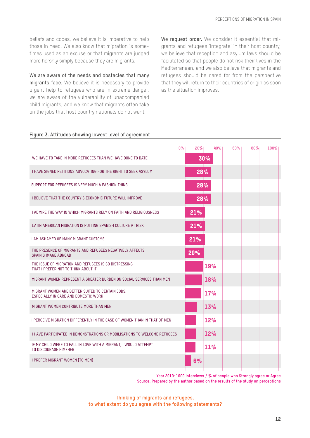beliefs and codes, we believe it is imperative to help those in need. We also know that migration is sometimes used as an excuse or that migrants are judged more harshly simply because they are migrants.

We are aware of the needs and obstacles that many migrants face. We believe it is necessary to provide urgent help to refugees who are in extreme danger, we are aware of the vulnerability of unaccompanied child migrants, and we know that migrants often take on the jobs that host country nationals do not want.

We request order. We consider it essential that migrants and refugees 'integrate' in their host country, we believe that reception and asylum laws should be facilitated so that people do not risk their lives in the Mediterranean, and we also believe that migrants and refugees should be cared for from the perspective that they will return to their countries of origin as soon as the situation improves.

#### **Figure 3. Attitudes showing lowest level of agreement**

|                                                                                              | $0\%$<br>20% | 40% | 60% | 80% | 100% |  |
|----------------------------------------------------------------------------------------------|--------------|-----|-----|-----|------|--|
| WE HAVE TO TAKE IN MORE REFUGEES THAN WE HAVE DONE TO DATE                                   |              | 30% |     |     |      |  |
| I HAVE SIGNED PETITIONS ADVOCATING FOR THE RIGHT TO SEEK ASYLUM                              |              | 28% |     |     |      |  |
| SUPPORT FOR REFUGEES IS VERY MUCH A FASHION THING                                            |              | 28% |     |     |      |  |
| <b>I BELIEVE THAT THE COUNTRY'S ECONOMIC FUTURE WILL IMPROVE</b>                             |              | 28% |     |     |      |  |
| I ADMIRE THE WAY IN WHICH MIGRANTS RELY ON FAITH AND RELIGIOUSNESS                           | 21%          |     |     |     |      |  |
| LATIN AMERICAN MIGRATION IS PUTTING SPANISH CULTURE AT RISK                                  | 21%          |     |     |     |      |  |
| <b>I AM ASHAMED OF MANY MIGRANT CUSTOMS</b>                                                  | 21%          |     |     |     |      |  |
| THE PRESENCE OF MIGRANTS AND REFUGEES NEGATIVELY AFFECTS<br>SPAIN'S IMAGE ABROAD             | 20%          |     |     |     |      |  |
| THE ISSUE OF MIGRATION AND REFUGEES IS SO DISTRESSING<br>THAT I PREFER NOT TO THINK ABOUT IT |              | 19% |     |     |      |  |
| MIGRANT WOMEN REPRESENT A GREATER BURDEN ON SOCIAL SERVICES THAN MEN                         |              | 18% |     |     |      |  |
| MIGRANT WOMEN ARE BETTER SUITED TO CERTAIN JOBS.<br>ESPECIALLY IN CARE AND DOMESTIC WORK     |              | 17% |     |     |      |  |
| MIGRANT WOMEN CONTRIBUTE MORE THAN MEN                                                       |              | 13% |     |     |      |  |
| I PERCEIVE MIGRATION DIFFERENTLY IN THE CASE OF WOMEN THAN IN THAT OF MEN                    |              | 12% |     |     |      |  |
| <b>I HAVE PARTICIPATED IN DEMONSTRATIONS OR MOBILISATIONS TO WELCOME REFUGEES</b>            |              | 12% |     |     |      |  |
| IF MY CHILD WERE TO FALL IN LOVE WITH A MIGRANT. I WOULD ATTEMPT<br>TO DISCOURAGE HIM/HER    |              | 11% |     |     |      |  |
| <b>I PREFER MIGRANT WOMEN [TO MEN]</b>                                                       | 6%           |     |     |     |      |  |
|                                                                                              |              |     |     |     |      |  |

**Year 2019: 1009 interviews / % of people who Strongly agree or Agree Source: Prepared by the author based on the results of the study on perceptions**

**Thinking of migrants and refugees, to what extent do you agree with the following statements?**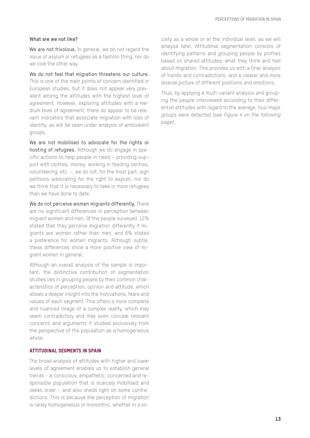#### **What are we not like?**

We are not frivolous. In general, we do not regard the issue of asylum or refugees as a fashion thing, nor do we look the other way.

We do not feel that migration threatens our culture. This is one of the main points of concern identified in European studies, but it does not appear very prevalent among the attitudes with the highest level of agreement. However, exploring attitudes with a medium level of agreement, there do appear to be relevant indicators that associate migration with loss of identity, as will be seen under analysis of ambivalent groups.

We are not mobilised to advocate for the rights or hosting of refugees. Although we do engage in specific actions to help people in need – providing support with clothes, money, working in feeding centres, volunteering, etc. –, we do not, for the most part, sign petitions advocating for the right to asylum, nor do we think that it is necessary to take in more refugees than we have done to date.

We do not perceive women migrants differently. There are no significant differences in perception between migrant women and men. Of the people surveyed, 12% stated that they perceive migration differently if migrants are women rather than men, and 6% stated a preference for women migrants. Although subtle, these differences show a more positive view of migrant women in general.

Although an overall analysis of the sample is important, the distinctive contribution of segmentation studies lies in grouping people by their common characteristics of perception, opinion and attitude, which allows a deeper insight into the motivations, fears and values of each segment. This offers a more complete and nuanced image of a complex reality, which may seem contradictory and may even conceal relevant concerns and arguments if studied exclusively from the perspective of the population as a homogeneous whole.

#### Attitudinal segments in Spain

The broad analysis of attitudes with higher and lower levels of agreement enables us to establish general trends – a conscious, empathetic, concerned and responsible population that is scarcely mobilised and seeks order – and also sheds light on some contradictions. This is because the perception of migration is rarely homogeneous or monolithic, whether in a society as a whole or at the individual level, as we will analyse later. Attitudinal segmentation consists of identifying patterns and grouping people by profiles based on shared attitudes; what they think and feel about migration. This provides us with a finer analysis of trends and contradictions, and a clearer and more diverse picture of different positions and emotions.

Thus, by applying a multi-variant analysis and grouping the people interviewed according to their differential attitudes with regard to the average, four major groups were detected *(see Figure 4 on the following page).*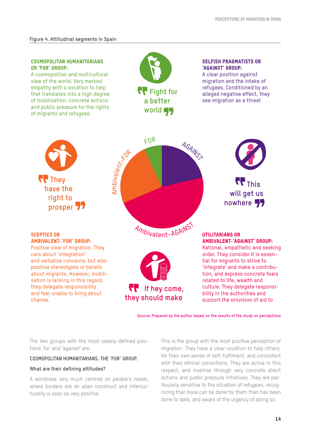#### COSMOPOLITAN HUMANITARIANS OR 'FOR' GROUP:

A cosmopolitan and multicultural view of the world. Very marked empathy with a vocation to help that translates into a high degree of mobilisation: concrete actions and public pressure for the rights of migrants and refugees.



#### SELFISH PRAGMATISTS OR 'AGAINST' GROUP:

A clear position against migration and the intake of refugees. Conditioned by an alleged negative effect, they see migration as a threat



**Source: Prepared by the author based on the results of the study on perceptions**

The two groups with the most clearly-defined positions 'for' and 'against' are:

#### **COSMOPOLITAN HUMANITARIANS. THE 'FOR' GROUP.**

#### **What are their defining attitudes?**

A worldview very much centred on people's needs, where borders are an alien construct and interculturality is seen as very positive.

This is the group with the most positive perception of migration. They have a clear vocation to help others, for their own sense of self-fulfilment, and consistent with their ethical convictions. They are active in this respect, and mobilise through very concrete direct actions and public pressure initiatives. They are particularly sensitive to the situation of refugees, recognizing that more can be done for them than has been done to date, and aware of the urgency of doing so.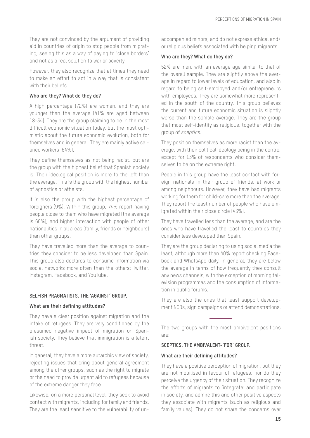They are not convinced by the argument of providing aid in countries of origin to stop people from migrating, seeing this as a way of paying to 'close borders' and not as a real solution to war or poverty.

However, they also recognize that at times they need to make an effort to act in a way that is consistent with their heliefs.

#### **Who are they? What do they do?**

A high percentage (72%) are women, and they are younger than the average (41% are aged between 18-34). They are the group claiming to be in the most difficult economic situation today, but the most optimistic about the future economic evolution, both for themselves and in general. They are mainly active salaried workers (64%).

They define themselves as not being racist, but are the group with the highest belief that Spanish society is. Their ideological position is more to the left than the average. This is the group with the highest number of agnostics or atheists.

It is also the group with the highest percentage of foreigners (9%). Within this group, 74% report having people close to them who have migrated (the average is 60%), and higher interaction with people of other nationalities in all areas (family, friends or neighbours) than other groups.

They have travelled more than the average to countries they consider to be less developed than Spain. This group also declares to consume information via social networks more often than the others: Twitter, Instagram, Facebook, and YouTube.

#### **SELFISH PRAGMATISTS. THE 'AGAINST' GROUP.**

#### **What are their defining attitudes?**

They have a clear position against migration and the intake of refugees. They are very conditioned by the presumed negative impact of migration on Spanish society. They believe that immigration is a latent threat.

In general, they have a more autarchic view of society, rejecting issues that bring about general agreement among the other groups, such as the right to migrate or the need to provide urgent aid to refugees because of the extreme danger they face.

Likewise, on a more personal level, they seek to avoid contact with migrants, including for family and friends. They are the least sensitive to the vulnerability of unaccompanied minors, and do not express ethical and/ or religious beliefs associated with helping migrants.

#### **Who are they? What do they do?**

52% are men, with an average age similar to that of the overall sample. They are slightly above the average in regard to lower levels of education, and also in regard to being self-employed and/or entrepreneurs with employees. They are somewhat more represented in the south of the country. This group believes the current and future economic situation is slightly worse than the sample average. They are the group that most self-identify as religious, together with the group of *sceptics*.

They position themselves as more racist than the average, with their political ideology being in the centre, except for 13% of respondents who consider themselves to be on the extreme right.

People in this group have the least contact with foreign nationals in their group of friends, at work or among neighbours. However, they have had migrants working for them for child-care more than the average. They report the least number of people who have emigrated within their close circle (43%).

They have travelled less than the average, and are the ones who have travelled the least to countries they consider less developed than Spain.

They are the group declaring to using social media the least, although more than 40% report checking Facebook and WhatsApp daily. In general, they are below the average in terms of how frequently they consult any news channels, with the exception of morning television programmes and the consumption of information in public forums.

They are also the ones that least support development NGOs, sign campaigns or attend demonstrations.

The two groups with the most ambivalent positions are:

#### **SCEPTICS. THE AMBIVALENT-'FOR' GROUP.**

#### **What are their defining attitudes?**

They have a positive perception of migration, but they are not mobilised in favour of refugees, nor do they perceive the urgency of their situation. They recognize the efforts of migrants to 'integrate' and participate in society, and admire this and other positive aspects they associate with migrants (such as religious and family values). They do not share the concerns over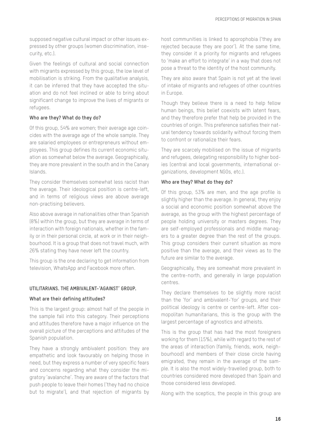supposed negative cultural impact or other issues expressed by other groups (women discrimination, insecurity, etc.).

Given the feelings of cultural and social connection with migrants expressed by this group, the low level of mobilisation is striking. From the qualitative analysis, it can be inferred that they have accepted the situation and do not feel inclined or able to bring about significant change to improve the lives of migrants or refugees.

#### **Who are they? What do they do?**

Of this group, 54% are women; their average age coincides with the average age of the whole sample. They are salaried employees or entrepreneurs without employees. This group defines its current economic situation as somewhat below the average. Geographically, they are more prevalent in the south and in the Canary Islands.

They consider themselves somewhat less racist than the average. Their ideological position is centre-left, and in terms of religious views are above average non-practising believers.

Also above average in nationalities other than Spanish (8%) within the group, but they are average in terms of interaction with foreign nationals, whether in the family or in their personal circle, at work or in their neighbourhood. It is a group that does not travel much, with 26% stating they have never left the country.

This group is the one declaring to get information from television, WhatsApp and Facebook more often.

#### **UTILITARIANS. THE AMBIVALENT-'AGAINST' GROUP.**

#### **What are their defining attitudes?**

This is the largest group: almost half of the people in the sample fall into this category. Their perceptions and attitudes therefore have a major influence on the overall picture of the perceptions and attitudes of the Spanish population.

They have a strongly ambivalent position: they are empathetic and look favourably on helping those in need, but they express a number of very specific fears and concerns regarding what they consider the migratory 'avalanche'. They are aware of the factors that push people to leave their homes ('they had no choice but to migrate'), and that rejection of migrants by host communities is linked to aporophobia ('they are rejected because they are poor'). At the same time, they consider it a priority for migrants and refugees to 'make an effort to integrate' in a way that does not pose a threat to the identity of the host community.

They are also aware that Spain is not yet at the level of intake of migrants and refugees of other countries in Europe.

Though they believe there is a need to help fellow human beings, this belief coexists with latent fears, and they therefore prefer that help be provided in the countries of origin. This preference satisfies their natural tendency towards solidarity without forcing them to confront or rationalize their fears.

They are scarcely mobilised on the issue of migrants and refugees, delegating responsibility to higher bodies (central and local governments, international organizations, development NGOs, etc.).

#### **Who are they? What do they do?**

Of this group, 53% are men, and the age profile is slightly higher than the average. In general, they enjoy a social and economic position somewhat above the average, as the group with the highest percentage of people holding university or masters degrees. They are self-employed professionals and middle managers to a greater degree than the rest of the groups. This group considers their current situation as more positive than the average, and their views as to the future are similar to the average.

Geographically, they are somewhat more prevalent in the centre-north, and generally in large population centres.

They declare themselves to be slightly more racist than the 'for' and ambivalent-'for' groups, and their political ideology is centre or centre-left. After cosmopolitan humanitarians, this is the group with the largest percentage of agnostics and atheists.

This is the group that has had the most foreigners working for them (15%), while with regard to the rest of the areas of interaction (family, friends, work, neighbourhood) and members of their close circle having emigrated, they remain in the average of the sample. It is also the most widely-travelled group, both to countries considered more developed than Spain and those considered less developed.

Along with the sceptics, the people in this group are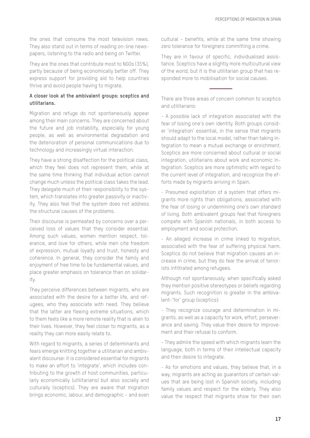the ones that consume the most television news. They also stand out in terms of reading on-line newspapers, listening to the radio and being on Twitter.

They are the ones that contribute most to NGOs (35%), partly because of being economically better off. They express support for providing aid to help countries thrive and avoid people having to migrate.

#### **A closer look at the ambivalent groups: sceptics and utilitarians.**

Migration and refuge do not spontaneously appear among their main concerns. They are concerned about the future and job instability, especially for young people, as well as environmental degradation and the deterioration of personal communications due to technology and increasingly virtual interaction.

They have a strong disaffection for the political class, which they feel does not represent them, while at the same time thinking that individual action cannot change much unless the political class takes the lead. They delegate much of their responsibility to the system, which translates into greater passivity or inactivity. They also feel that the system does not address the structural causes of the problems.

Their discourse is permeated by concerns over a perceived loss of values that they consider essential. Among such values, women mention respect, tolerance, and love for others, while men cite freedom of expression, mutual loyalty and trust, honesty and coherence. In general, they consider the family and enjoyment of free time to be fundamental values, and place greater emphasis on tolerance than on solidarity.

They perceive differences between migrants, who are associated with the desire for a better life, and refugees, who they associate with need. They believe that the latter are fleeing extreme situations, which to them feels like a more remote reality that is alien to their lives. However, they feel closer to migrants, as a reality they can more easily relate to.

With regard to migrants, a series of determinants and fears emerge knitting together a utilitarian and ambivalent discourse: it is considered essential for migrants to make an effort to 'integrate', which includes contributing to the growth of host communities, particularly economically (utilitarians) but also socially and culturally (sceptics). They are aware that migration brings economic, labour, and demographic – and even cultural – benefits, while at the same time showing zero tolerance for foreigners committing a crime.

They are in favour of specific, individualised assistance. Sceptics have a slightly more multicultural view of the world, but it is the utilitarian group that has responded more to mobilisation for social causes.

There are three areas of concern common to sceptics and utilitarians:

- A possible lack of integration associated with the fear of losing one's own identity. Both groups consider 'integration' essential, in the sense that migrants should adapt to the local model, rather than taking integration to mean a mutual exchange or enrichment. Sceptics are more concerned about cultural or social integration, utilitarians about work and economic integration. Sceptics are more optimistic with regard to the current level of integration, and recognize the efforts made by migrants arriving in Spain.

- Presumed exploitation of a system that offers migrants more rights than obligations, associated with the fear of losing or undermining one's own standard of living. Both ambivalent groups feel that foreigners compete with Spanish nationals, in both access to employment and social protection.

- An alleged increase in crime linked to migration, associated with the fear of suffering physical harm. Sceptics do not believe that migration causes an increase in crime, but they do fear the arrival of terrorists infiltrated among refugees.

Although not spontaneously, when specifically asked they mention positive stereotypes or beliefs regarding migrants. Such recognition is greater in the ambivalent-'for' group (sceptics):

- They recognize courage and determination in migrants, as well as a capacity for work, effort, perseverance and saving. They value their desire for improvement and their refusal to conform.

- They admire the speed with which migrants learn the language, both in terms of their intellectual capacity and their desire to integrate.

- As for emotions and values, they believe that, in a way, migrants are acting as guarantors of certain values that are being lost in Spanish society, including family values and respect for the elderly. They also value the respect that migrants show for their own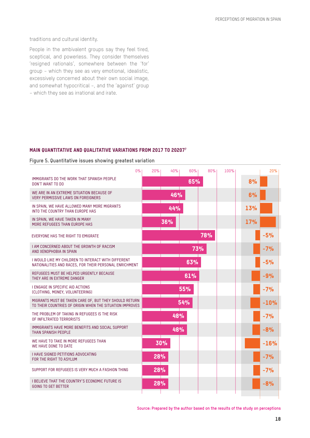traditions and cultural identity.

People in the ambivalent groups say they feel tired, sceptical, and powerless. They consider themselves 'resigned rationals', somewhere between the 'for' group – which they see as very emotional, idealistic, excessively concerned about their own social image, and somewhat hypocritical –, and the 'against' group – which they see as irrational and irate.

#### Main quantitative and qualitative variations from 2017 to 202077

**Figure 5. Quantitative issues showing greatest variation**

|                                                                                                                    | 0% | 20% | 40% | 60% | 80% | 100% |            | 20%    |  |
|--------------------------------------------------------------------------------------------------------------------|----|-----|-----|-----|-----|------|------------|--------|--|
| IMMIGRANTS DO THE WORK THAT SPANISH PEOPLE<br>DON'T WANT TO DO                                                     |    |     |     | 65% |     |      | 8%         |        |  |
| WE ARE IN AN EXTREME SITUATION BECAUSE OF<br><b>VERY PERMISSIVE LAWS ON FOREIGNERS</b>                             |    |     | 46% |     |     |      | 6%         |        |  |
| IN SPAIN, WE HAVE ALLOWED MANY MORE MIGRANTS<br>INTO THE COUNTRY THAN EUROPE HAS                                   |    |     | 44% |     |     |      | 13%        |        |  |
| IN SPAIN, WE HAVE TAKEN IN MANY<br>MORE REFUGEES THAN EUROPE HAS                                                   |    |     | 36% |     |     |      | <b>17%</b> |        |  |
| EVERYONE HAS THE RIGHT TO EMIGRATE                                                                                 |    |     |     |     | 78% |      |            | $-5%$  |  |
| <b>I AM CONCERNED ABOUT THE GROWTH OF RACISM</b><br>AND XENOPHOBIA IN SPAIN                                        |    |     |     |     | 73% |      |            | $-7%$  |  |
| I WOULD LIKE MY CHILDREN TO INTERACT WITH DIFFERENT<br>NATIONALITIES AND RACES, FOR THEIR PERSONAL ENRICHMENT      |    |     |     | 63% |     |      |            | $-5%$  |  |
| REFUGEES MUST BE HELPED URGENTLY BECAUSE<br>THEY ARE IN EXTREME DANGER                                             |    |     |     | 61% |     |      |            | $-9%$  |  |
| I ENGAGE IN SPECIFIC AID ACTIONS<br>(CLOTHING, MONEY, VOLUNTEERING)                                                |    |     |     | 55% |     |      |            | $-7%$  |  |
| MIGRANTS MUST BE TAKEN CARE OF, BUT THEY SHOULD RETURN<br>TO THEIR COUNTRIES OF ORIGIN WHEN THE SITUATION IMPROVES |    |     |     | 54% |     |      |            | $-10%$ |  |
| THE PROBLEM OF TAKING IN REFUGEES IS THE RISK<br>OF INFILTRATED TERRORISTS                                         |    |     | 48% |     |     |      |            | $-7%$  |  |
| IMMIGRANTS HAVE MORE BENEFITS AND SOCIAL SUPPORT<br>THAN SPANISH PEOPLE                                            |    |     | 48% |     |     |      |            | $-8%$  |  |
| WE HAVE TO TAKE IN MORE REFUGEES THAN<br>WE HAVE DONE TO DATE                                                      |    | 30% |     |     |     |      |            | $-16%$ |  |
| <b>I HAVE SIGNED PETITIONS ADVOCATING</b><br>FOR THE RIGHT TO ASYLUM                                               |    | 28% |     |     |     |      |            | $-7%$  |  |
| SUPPORT FOR REFUGEES IS VERY MUCH A FASHION THING                                                                  |    | 28% |     |     |     |      |            | $-7%$  |  |
| <b>I BELIEVE THAT THE COUNTRY'S ECONOMIC FUTURE IS</b><br><b>GOING TO GET BETTER</b>                               |    | 28% |     |     |     |      |            | $-8%$  |  |
|                                                                                                                    |    |     |     |     |     |      |            |        |  |

**Source: Prepared by the author based on the results of the study on perceptions**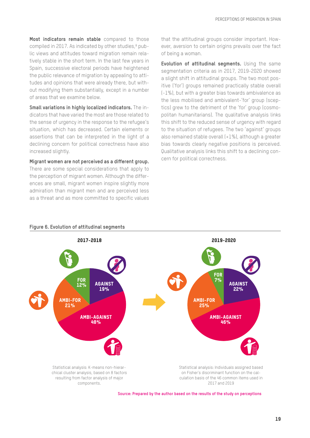**Most indicators remain stable** compared to those compiled in 2017. As indicated by other studies,<sup>8</sup> public views and attitudes toward migration remain relatively stable in the short term. In the last few years in Spain, successive electoral periods have heightened the public relevance of migration by appealing to attitudes and opinions that were already there, but without modifying them substantially, except in a number of areas that we examine below.

**Small variations in highly localized indicators.** The indicators that have varied the most are those related to the sense of urgency in the response to the refugee's situation, which has decreased. Certain elements or assertions that can be interpreted in the light of a declining concern for political correctness have also increased slightly.

**Migrant women are not perceived as a different group.** There are some special considerations that apply to the perception of migrant women. Although the differences are small, migrant women inspire slightly more admiration than migrant men and are perceived less as a threat and as more committed to specific values that the attitudinal groups consider important. However, aversion to certain origins prevails over the fact of being a woman.

**Evolution of attitudinal segments.** Using the same segmentation criteria as in 2017, 2019-2020 showed a slight shift in attitudinal groups. The two most positive ('for') groups remained practically stable overall (-1%), but with a greater bias towards ambivalence as the less mobilised and ambivalent-'for' group (sceptics) grew to the detriment of the 'for' group (cosmopolitan humanitarians). The qualitative analysis links this shift to the reduced sense of urgency with regard to the situation of refugees. The two 'against' groups also remained stable overall (+1%), although a greater bias towards clearly negative positions is perceived. Qualitative analysis links this shift to a declining concern for political correctness.



**Figure 6. Evolution of attitudinal segments**



#### **Source: Prepared by the author based on the results of the study on perceptions**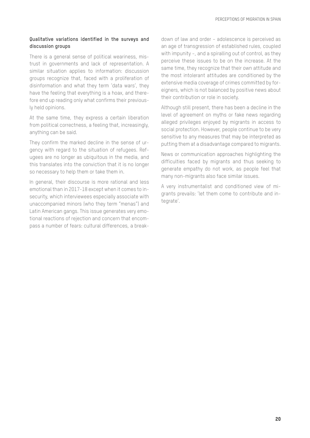#### **Qualitative variations identified in the surveys and discussion groups**

There is a general sense of political weariness, mistrust in governments and lack of representation. A similar situation applies to information: discussion groups recognize that, faced with a proliferation of disinformation and what they term 'data wars', they have the feeling that everything is a hoax, and therefore end up reading only what confirms their previously held opinions.

At the same time, they express a certain liberation from political correctness, a feeling that, increasingly, anything can be said.

They confirm the marked decline in the sense of urgency with regard to the situation of refugees. Refugees are no longer as ubiquitous in the media, and this translates into the conviction that it is no longer so necessary to help them or take them in.

In general, their discourse is more rational and less emotional than in 2017-18 except when it comes to insecurity, which interviewees especially associate with unaccompanied minors (who they term "menas") and Latin American gangs. This issue generates very emotional reactions of rejection and concern that encompass a number of fears: cultural differences, a breakdown of law and order – adolescence is perceived as an age of transgression of established rules, coupled with impunity –, and a spiralling out of control, as they perceive these issues to be on the increase. At the same time, they recognize that their own attitude and the most intolerant attitudes are conditioned by the extensive media coverage of crimes committed by foreigners, which is not balanced by positive news about their contribution or role in society.

Although still present, there has been a decline in the level of agreement on myths or fake news regarding alleged privileges enjoyed by migrants in access to social protection. However, people continue to be very sensitive to any measures that may be interpreted as putting them at a disadvantage compared to migrants.

News or communication approaches highlighting the difficulties faced by migrants and thus seeking to generate empathy do not work, as people feel that many non-migrants also face similar issues.

A very instrumentalist and conditioned view of migrants prevails: 'let them come to contribute and integrate'.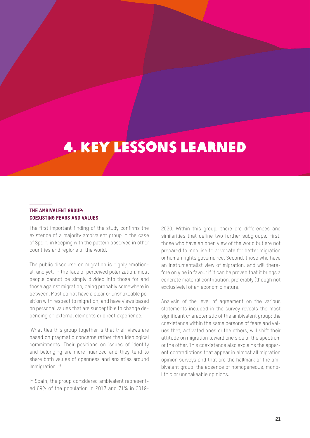## 4. Key lessons learned

#### The ambivalent group: Coexisting fears and values

The first important finding of the study confirms the existence of a majority ambivalent group in the case of Spain, in keeping with the pattern observed in other countries and regions of the world.

The public discourse on migration is highly emotional, and yet, in the face of perceived polarization, most people cannot be simply divided into those for and those against migration, being probably somewhere in between. Most do not have a clear or unshakeable position with respect to migration, and have views based on personal values that are susceptible to change depending on external elements or direct experience.

'What ties this group together is that their views are based on pragmatic concerns rather than ideological commitments. Their positions on issues of identity and belonging are more nuanced and they tend to share both values of openness and anxieties around immigration .'<sup>9</sup>

In Spain, the group considered ambivalent represented 69% of the population in 2017 and 71% in 20192020. Within this group, there are differences and similarities that define two further subgroups. First, those who have an open view of the world but are not prepared to mobilise to advocate for better migration or human rights governance. Second, those who have an instrumentalist view of migration, and will therefore only be in favour if it can be proven that it brings a concrete material contribution, preferably (though not exclusively) of an economic nature.

Analysis of the level of agreement on the various statements included in the survey reveals the most significant characteristic of the ambivalent group: the coexistence within the same persons of fears and values that, activated ones or the others, will shift their attitude on migration toward one side of the spectrum or the other. This coexistence also explains the apparent contradictions that appear in almost all migration opinion surveys and that are the hallmark of the ambivalent group: the absence of homogeneous, monolithic or unshakeable opinions.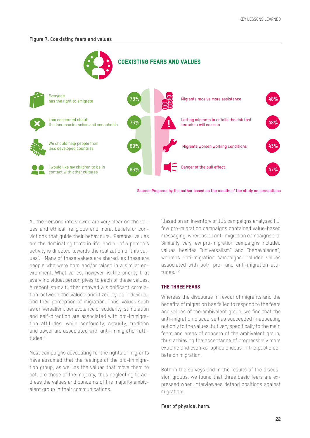#### **Figure 7. Coexisting fears and values**



All the persons interviewed are very clear on the values and ethical, religious and moral beliefs or convictions that guide their behaviours. 'Personal values are the dominating force in life, and all of a person's activity is directed towards the realization of this values'.10 Many of these values are shared, as these are people who were born and/or raised in a similar environment. What varies, however, is the priority that every individual person gives to each of these values. A recent study further showed a significant correlation between the values prioritized by an individual, and their perception of migration. Thus, values such as universalism, benevolence or solidarity, stimulation and self-direction are associated with pro-immigration attitudes, while conformity, security, tradition and power are associated with anti-immigration attitudes.<sup>11</sup>

Most campaigns advocating for the rights of migrants have assumed that the feelings of the pro-immigration group, as well as the values that move them to act, are those of the majority, thus neglecting to address the values and concerns of the majority ambivalent group in their communications.

'Based on an inventory of 135 campaigns analysed […] few pro-migration campaigns contained value-based messaging, whereas all anti-migration campaigns did. Similarly, very few pro-migration campaigns included values besides "universalism" and "benevolence", whereas anti-migration campaigns included values associated with both pro- and anti-migration attitudes.'12

#### The three fears

Whereas the discourse in favour of migrants and the benefits of migration has failed to respond to the fears and values of the ambivalent group, we find that the anti-migration discourse has succeeded in appealing not only to the values, but very specifically to the main fears and areas of concern of the ambivalent group, thus achieving the acceptance of progressively more extreme and even xenophobic ideas in the public debate on migration.

Both in the surveys and in the results of the discussion groups, we found that three basic fears are expressed when interviewees defend positions against migration:

#### **Fear of physical harm.**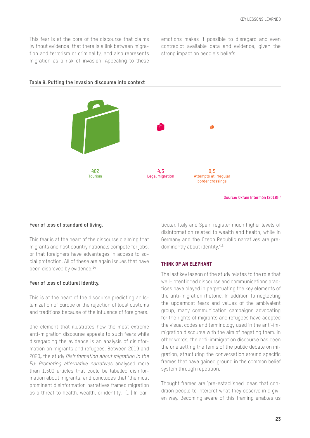This fear is at the core of the discourse that claims (without evidence) that there is a link between migration and terrorism or criminality, and also represents migration as a risk of invasion. Appealing to these

emotions makes it possible to disregard and even contradict available data and evidence, given the strong impact on people's beliefs.



#### **Table 8. Putting the invasion discourse into context**

**Fear of loss of standard of living**.

This fear is at the heart of the discourse claiming that migrants and host country nationals compete for jobs, or that foreigners have advantages in access to social protection. All of these are again issues that have been disproved by evidence.<sup>14</sup>

#### **Fear of loss of cultural identity.**

This is at the heart of the discourse predicting an Islamization of Europe or the rejection of local customs and traditions because of the influence of foreigners.

One element that illustrates how the most extreme anti-migration discourse appeals to such fears while disregarding the evidence is an analysis of disinformation on migrants and refugees. Between 2019 and 2020, the study *Disinformation about migration in the EU: Promoting alternative narratives* analysed more than 1,500 articles that could be labelled disinformation about migrants, and concludes that 'the most prominent disinformation narratives framed migration as a threat to health, wealth, or identity. (...) In particular, Italy and Spain register much higher levels of disinformation related to wealth and health, while in Germany and the Czech Republic narratives are predominantly about identity.'15

**Source: Oxfam Intermón (2018)13**

#### Think of an elephant

The last key lesson of the study relates to the role that well-intentioned discourse and communications practices have played in perpetuating the key elements of the anti-migration rhetoric. In addition to neglecting the uppermost fears and values of the ambivalent group, many communication campaigns advocating for the rights of migrants and refugees have adopted the visual codes and terminology used in the anti-immigration discourse with the aim of negating them: in other words, the anti-immigration discourse has been the one setting the terms of the public debate on migration, structuring the conversation around specific frames that have gained ground in the common belief system through repetition.

Thought frames are 'pre-established ideas that condition people to interpret what they observe in a given way. Becoming aware of this framing enables us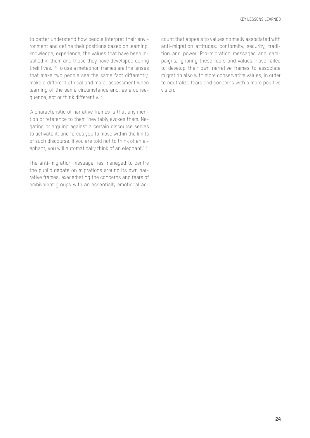to better understand how people interpret their environment and define their positions based on learning, knowledge, experience, the values that have been instilled in them and those they have developed during their lives.'16 To use a metaphor, frames are the lenses that make two people see the same fact differently, make a different ethical and moral assessment when learning of the same circumstance and, as a consequence, act or think differently.<sup>17</sup>

'A characteristic of narrative frames is that any mention or reference to them inevitably evokes them. Negating or arguing against a certain discourse serves to activate it, and forces you to move within the limits of such discourse. If you are told not to think of an elephant, you will automatically think of an elephant.'18

The anti-migration message has managed to centre the public debate on migrations around its own narrative frames, exacerbating the concerns and fears of ambivalent groups with an essentially emotional ac-

count that appeals to values normally associated with anti-migration attitudes: conformity, security, tradition and power. Pro-migration messages and campaigns, ignoring these fears and values, have failed to develop their own narrative frames to associate migration also with more conservative values, in order to neutralize fears and concerns with a more positive vision.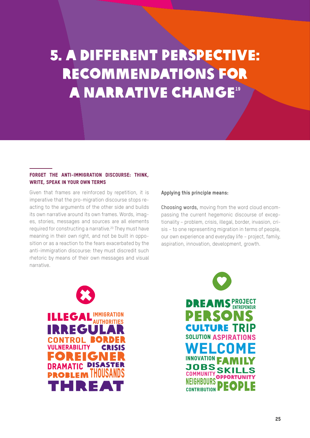# 5. A different Perspective: Recommendations for **A NARRATIVE CHANGE<sup>19</sup>**

#### Forget the anti-immigration discourse: think, write, speak in your own terms

Given that frames are reinforced by repetition, it is imperative that the pro-migration discourse stops reacting to the arguments of the other side and builds its own narrative around its own frames. Words, images, stories, messages and sources are all elements required for constructing a narrative.20 They must have meaning in their own right, and not be built in opposition or as a reaction to the fears exacerbated by the anti-immigration discourse: they must discredit such rhetoric by means of their own messages and visual narrative.

#### **Applying this principle means:**

Choosing words, moving from the word cloud encompassing the current hegemonic discourse of exceptionality – problem, crisis, illegal, border, invasion, crisis – to one representing migration in terms of people, our own experience and everyday life – project, family, aspiration, innovation, development, growth.

RECOMMENDATIONS FOR A CHANGE OF NARRATIVE



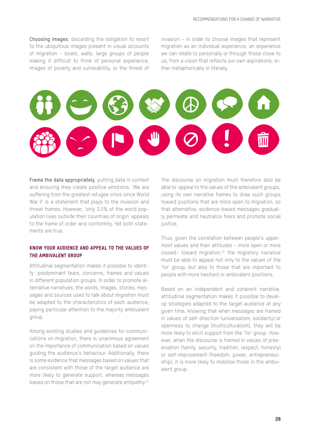Choosing images, discarding the obligation to resort to the ubiquitous images present in visual accounts of migration – boats, walls, large groups of people making it difficult to think of personal experience, images of poverty and vulnerability, or the threat of invasion – in order to choose images that represent migration as an individual experience, an experience we can relate to personally or through those close to us, from a vision that reflects our own aspirations, either metaphorically or literally.



Frame the data appropriately, putting data in context and ensuring they create positive emotions. 'We are suffering from the greatest refugee crisis since World War II' is a statement that plays to the invasion and threat frames. However, 'only 3.5% of the world population lives outside their countries of origin' appeals to the frame of order and conformity. Yet both statements are true.

#### Know your audience and appeal to the values of the ambivalent group

Attitudinal segmentation makes it possible to identify predominant fears, concerns, frames and values in different population groups. In order to promote alternative narratives, the words, images, stories, messages and sources used to talk about migration must be adapted to the characteristics of each audience, paying particular attention to the majority ambivalent group.

Among existing studies and guidelines for communications on migration, there is unanimous agreement on the importance of communication based on values guiding the audience's behaviour. Additionally, there is some evidence that messages based on values that are consistent with those of the target audience are more likely to generate support, whereas messages based on those that are not may generate antipathy.<sup>21</sup>

The discourse on migration must therefore also be able to appeal to the values of the ambivalent groups, using its own narrative frames to draw such groups toward positions that are more open to migration, so that alternative, evidence-based messages gradually permeate and neutralize fears and promote social justice.

Thus, given the correlation between people's uppermost values and their attitudes – more open or more closed- toward migration,<sup>22</sup> the migratory narrative must be able to appeal not only to the values of the 'for' group, but also to those that are important to people with more hesitant or ambivalent positions.

Based on an independent and coherent narrative, attitudinal segmentation makes it possible to develop strategies adapted to the target audience at any given time, knowing that when messages are framed in values of self-direction (universalism, solidarity) or openness to change (multiculturalism), they will be more likely to elicit support from the 'for' group. However, when the discourse is framed in values of preservation (family, security, tradition, respect, honesty) or self-improvement (freedom, power, entrepreneurship), it is more likely to mobilise those in the ambivalent group.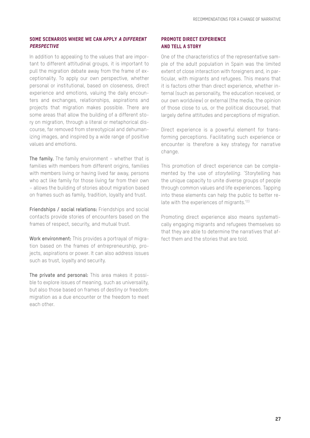#### SOME SCENARIOS WHERE WE CAN APPLY A DIFFERENT **PERSPECTIVE**

In addition to appealing to the values that are important to different attitudinal groups, it is important to pull the migration debate away from the frame of exceptionality. To apply our own perspective, whether personal or institutional, based on closeness, direct experience and emotions, valuing the daily encounters and exchanges, relationships, aspirations and projects that migration makes possible. There are some areas that allow the building of a different story on migration, through a literal or metaphorical discourse, far removed from stereotypical and dehumanizing images, and inspired by a wide range of positive values and emotions.

The family. The family environment – whether that is families with members from different origins, families with members living or having lived far away, persons who act like family for those living far from their own – allows the building of stories about migration based on frames such as family, tradition, loyalty and trust.

Friendships / social relations: Friendships and social contacts provide stories of encounters based on the frames of respect, security, and mutual trust.

Work environment: This provides a portrayal of migration based on the frames of entrepreneurship, projects, aspirations or power. It can also address issues such as trust, loyalty and security.

The private and personal: This area makes it possible to explore issues of meaning, such as universality, but also those based on frames of destiny or freedom: migration as a due encounter or the freedom to meet each other.

#### Promote direct experience and tell a story

One of the characteristics of the representative sample of the adult population in Spain was the limited extent of close interaction with foreigners and, in particular, with migrants and refugees. This means that it is factors other than direct experience, whether internal (such as personality, the education received, or our own worldview) or external (the media, the opinion of those close to us, or the political discourse), that largely define attitudes and perceptions of migration.

Direct experience is a powerful element for transforming perceptions. Facilitating such experience or encounter is therefore a key strategy for narrative change.

This promotion of direct experience can be complemented by the use of *storytelling*. 'Storytelling has the unique capacity to unite diverse groups of people through common values and life experiences. Tapping into these elements can help the public to better relate with the experiences of migrants.<sup>'23</sup>

Promoting direct experience also means systematically engaging migrants and refugees themselves so that they are able to determine the narratives that affect them and the stories that are told.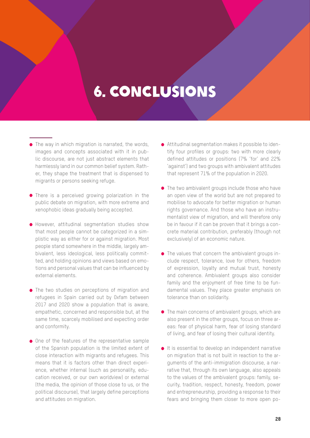## 6. Conclusions

- The way in which migration is narrated, the words, images and concepts associated with it in public discourse, are not just abstract elements that harmlessly land in our common belief system. Rather, they shape the treatment that is dispensed to migrants or persons seeking refuge.
- **•** There is a perceived growing polarization in the public debate on migration, with more extreme and xenophobic ideas gradually being accepted.
- **However, attitudinal segmentation studies show** that most people cannot be categorized in a simplistic way as either for or against migration. Most people stand somewhere in the middle, largely ambivalent, less ideological, less politically committed, and holding opinions and views based on emotions and personal values that can be influenced by external elements.
- **The two studies on perceptions of migration and** refugees in Spain carried out by Oxfam between 2017 and 2020 show a population that is aware, empathetic, concerned and responsible but, at the same time, scarcely mobilised and expecting order and conformity.
- One of the features of the representative sample of the Spanish population is the limited extent of close interaction with migrants and refugees. This means that it is factors other than direct experience, whether internal (such as personality, education received, or our own worldview) or external (the media, the opinion of those close to us, or the political discourse), that largely define perceptions and attitudes on migration.
- Attitudinal segmentation makes it possible to identify four profiles or groups: two with more clearly defined attitudes or positions (7% 'for' and 22% 'against') and two groups with ambivalent attitudes that represent 71% of the population in 2020.
- The two ambivalent groups include those who have an open view of the world but are not prepared to mobilise to advocate for better migration or human rights governance. And those who have an instrumentalist view of migration, and will therefore only be in favour if it can be proven that it brings a concrete material contribution, preferably (though not exclusively) of an economic nature.
- The values that concern the ambivalent groups include respect, tolerance, love for others, freedom of expression, loyalty and mutual trust, honesty and coherence. Ambivalent groups also consider family and the enjoyment of free time to be fundamental values. They place greater emphasis on tolerance than on solidarity.
- $\bullet$  The main concerns of ambivalent groups, which are also present in the other groups, focus on three areas: fear of physical harm, fear of losing standard of living, and fear of losing their cultural identity.
- It is essential to develop an independent narrative on migration that is not built in reaction to the arguments of the anti-immigration discourse, a narrative that, through its own language, also appeals to the values of the ambivalent groups: family, security, tradition, respect, honesty, freedom, power and entrepreneurship, providing a response to their fears and bringing them closer to more open po-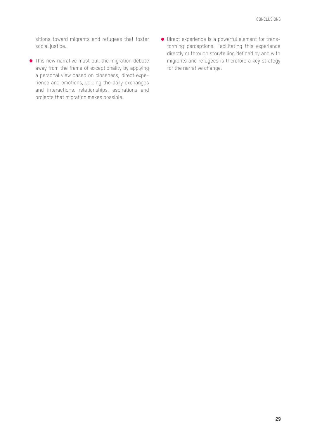sitions toward migrants and refugees that foster social justice.

- This new narrative must pull the migration debate away from the frame of exceptionality by applying a personal view based on closeness, direct experience and emotions, valuing the daily exchanges and interactions, relationships, aspirations and projects that migration makes possible.
- Direct experience is a powerful element for transforming perceptions. Facilitating this experience directly or through storytelling defined by and with migrants and refugees is therefore a key strategy for the narrative change.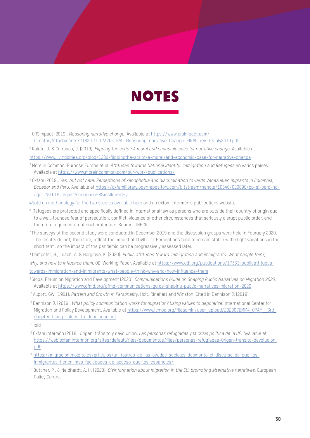

1 ORSImpact (2019). *Measuring narrative change*. Available at [https://www.orsimpact.com/](https://www.orsimpact.com/DirectoryAttachments/7182019_123705_659_Measuring_narrative_Change_FINAL_r) [DirectoryAttachments/7182019\\_123705\\_659\\_Measuring\\_narrative\\_Change\\_FINAL\\_rev\\_17July2019.pdf](https://www.orsimpact.com/DirectoryAttachments/7182019_123705_659_Measuring_narrative_Change_FINAL_r)

2 Kaleta, J. & Carrasco, J. (2019). *Flipping the script: A moral and economic case for narrative change*. Available at

[https://www.livingcities.org/blog/1280-flippingthe-script-a-moral-and-economic-case-for-narrative-change](https://www.livingcities.org/blog/1280-flippingthe-script-a-moral-and-economic-case-for-narrative-ch)

- 3 More in Common, Purpose Europe et al. *Attitudes towards National Identity, Immigration and Refugees* en varios países. Available at <https://www.moreincommon.com/our-work/publications/>
- 4 Oxfam (2019). *Yes, but not here. Perceptions of xenophobia and discrimination towards Venezuelan migrants in Colombia, Ecuador and Peru*. Available at [https://oxfamilibrary.openrepository.com/bitstream/handle/10546/620890/bp-si-pero-no](https://oxfamilibrary.openrepository.com/bitstream/handle/10546/620890/bp-si-pero-no-aqui-251019-es.)[aqui-251019-es.pdf?sequence=8&isAllowed=y](https://oxfamilibrary.openrepository.com/bitstream/handle/10546/620890/bp-si-pero-no-aqui-251019-es.)

[5 Note on methodology for the two studies available](https://oxfam.box.com/s/l3xq9yalncxqouyshjez7jq8f554o79w) here and on Oxfam Intermón's publications website.

- <sup>6</sup> Refugees are protected and specifically defined in international law as persons who are outside their country of origin due to a well-founded fear of persecution, conflict, violence or other circumstances that seriously disrupt public order, and therefore require international protection. Source: UNHCR
- <sup>7</sup> The surveys of the second study were conducted in December 2019 and the discussion groups were held in February 2020. The results do not, therefore, reflect the impact of COVID-19. Perceptions tend to remain stable with slight variations in the short term, so the impact of the pandemic can be progressively assessed later.
- 8 Dempster, H., Leach, A. & Hargrave, K. (2020). *Public attitudes toward immigration and immigrants. What people think, why, and how to influence them*. ODI Working Paper. Available at [https://www.odi.org/publications/17333-publicattitudes](https://www.odi.org/publications/17333-publicattitudes-%20towards-immigration-and-immigrants-what-peop)[towards-immigration-and-immigrants-what-people-think-why-and-how-influence-them](https://www.odi.org/publications/17333-publicattitudes-%20towards-immigration-and-immigrants-what-peop)
- 9 Global Forum on Migration and Development (2020). *Communications Guide on Shaping Public Narratives on Migration 2020*. Available at <https://www.gfmd.org/gfmd-communications-guide-shaping-public-narratives-migration-2020>
- 10 Allport, GW. (1961). *Pattern and Growth in Personality*. Holt, Rinehart and Winston. Cited in Dennison J. (2019).
- 11 Dennison J. (2019). *What policy communication works for migration? Using values to depolarize*. International Center for Migration and Policy Development. Available at https://www.icmpd.org/fileadmin/user\_upload/202007EMM4\_OPAM\_\_3rd chapter Using values to depolarise.pdf

12 Ibid

- 13 Oxfam Intermón (2018). Origen, tránsito y devolución. *Las personas refugiadas y la crisis política de la UE*. Available at [https://web.oxfamintermon.org/sites/default/files/documentos/files/personas-refugiadas-Origen-transito-devolucion.](https://web.oxfamintermon.org/sites/default/files/documentos/files/personas-refugiadas-Origen-transi) [pdf](https://web.oxfamintermon.org/sites/default/files/documentos/files/personas-refugiadas-Origen-transi)
- <sup>14</sup> [https://migracion.maldita.es/articulos/un-rastreo-de-las-ayudas-sociales-desmonta-el-discurso-de-que-los](https://migracion.maldita.es/articulos/un-rastreo-de-las-ayudas-sociales-desmonta-el-discurso-de-que-los-inmigrantes-tienen-mas-facilidades-de-acceso-que-los-espanoles/)[inmigrantes-tienen-mas-facilidades-de-acceso-que-los-espanoles/](https://migracion.maldita.es/articulos/un-rastreo-de-las-ayudas-sociales-desmonta-el-discurso-de-que-los-inmigrantes-tienen-mas-facilidades-de-acceso-que-los-espanoles/)
- 15 Butcher, P., & Neidhardt, A. H. (2020), *Disinformation about migration in the EU: promoting alternative narratives.* European Policy Centre.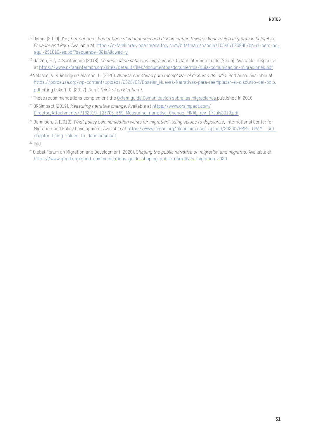- 16 Oxfam (2019). *Yes, but not here. Perceptions of xenophobia and discrimination towards Venezuelan migrants in Colombia, Ecuador and Peru.* Available at [https://oxfamilibrary.openrepository.com/bitstream/handle/10546/620890/bp-si-pero-no](https://oxfamilibrary.openrepository.com/bitstream/handle/10546/620890/bp-si-pero-no-aqui-251019-es.)[aqui-251019-es.pdf?sequence=8&isAllowed=y](https://oxfamilibrary.openrepository.com/bitstream/handle/10546/620890/bp-si-pero-no-aqui-251019-es.)
- 17 Garzón, E. y C. Santamaría (2018). *Comunicación sobre las migraciones.* Oxfam Intermón guide (Spain). Available in Spanish at [https://www.oxfamintermon.org/sites/default/files/documentos/documentos/guia-comunicacion-migraciones.pdf](https://www.oxfamintermon.org/sites/default/files/documentos/documentos/guia-comunicacion-migracione)
- 18 Velasco, V. & Rodríguez Alarcón, L. (2020). *Nuevas narrativas para reemplazar el discurso del odio*. PorCausa. Available at [https://porcausa.org/wp-content/uploads/2020/02/Dossier\\_Nuevas-Narrativas-para-reemplazar-el-discurso-del-odio.](https://porcausa.org/wp-content/uploads/2020/02/Dossier_Nuevas-Narrativas-para-reemplazar-el-discurs) [pdf](https://porcausa.org/wp-content/uploads/2020/02/Dossier_Nuevas-Narrativas-para-reemplazar-el-discurs) citing Lakoff, G. (2017) *Don't Think of an Elephant!*.
- 19 These recommendations complement the [Oxfam guide Comunicación sobre las migraciones](https://web.oxfamintermon.org/sites/default/files/documentos/documentos/guia-comunicacion-migraciones.pdf) published in 2018
- 20 ORSImpact (2019). *Measuring narrative change*. Available at [https://www.orsimpact.com/](https://www.orsimpact.com/DirectoryAttachments/7182019_123705_659_Measuring_narrative_Change_FINAL_rev_17July2019.pdf) [DirectoryAttachments/7182019\\_123705\\_659\\_Measuring\\_narrative\\_Change\\_FINAL\\_rev\\_17July2019.pdf](https://www.orsimpact.com/DirectoryAttachments/7182019_123705_659_Measuring_narrative_Change_FINAL_rev_17July2019.pdf)
- 21 Dennison, J. (2019). *What policy communication works for migration? Using values to depolarize*. International Center for Migration and Policy Development. Available at https://www.icmpd.org/fileadmin/user\_upload/202007EMM4\_OPAM\_\_3rd chapter Using values to depolarise.pdf

23 Global Forum on Migration and Development (2020). S*haping the public narrative on migration and migrants*. Available at <https://www.gfmd.org/gfmd-communications-guide-shaping-public-narratives-migration-2020>

 $22$  Ibid